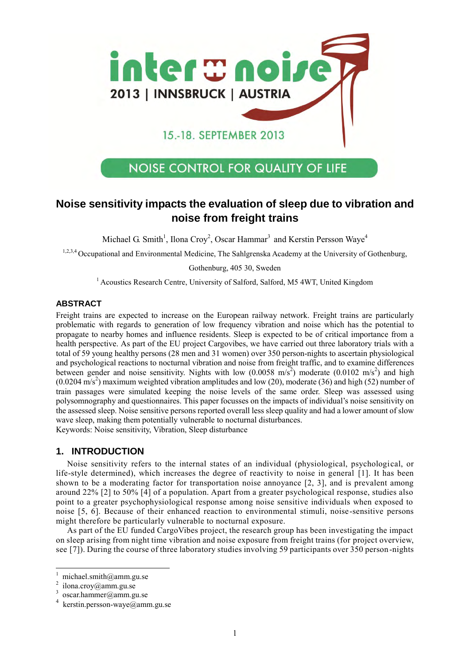

# **NOISE CONTROL FOR QUALITY OF LIFE**

# **Noise sensitivity impacts the evaluation of sleep due to vibration and noise from freight trains**

Michael G. Smith<sup>1</sup>, Ilona Croy<sup>2</sup>, Oscar Hammar<sup>3</sup> and Kerstin Persson Waye<sup>4</sup>

1,2,3,4 Occupational and Environmental Medicine, The Sahlgrenska Academy at the University of Gothenburg,

Gothenburg, 405 30, Sweden

<sup>1</sup> Acoustics Research Centre, University of Salford, Salford, M5 4WT, United Kingdom

# **ABSTRACT**

Freight trains are expected to increase on the European railway network. Freight trains are particularly problematic with regards to generation of low frequency vibration and noise which has the potential to propagate to nearby homes and influence residents. Sleep is expected to be of critical importance from a health perspective. As part of the EU project Cargovibes, we have carried out three laboratory trials with a total of 59 young healthy persons (28 men and 31 women) over 350 person-nights to ascertain physiological and psychological reactions to nocturnal vibration and noise from freight traffic, and to examine differences between gender and noise sensitivity. Nights with low  $(0.0058 \text{ m/s}^2)$  moderate  $(0.0102 \text{ m/s}^2)$  and high  $(0.0204 \text{ m/s}^2)$  maximum weighted vibration amplitudes and low (20), moderate (36) and high (52) number of train passages were simulated keeping the noise levels of the same order. Sleep was assessed using polysomnography and questionnaires. This paper focusses on the impacts of individual's noise sensitivity on the assessed sleep. Noise sensitive persons reported overall less sleep quality and had a lower amount of slow wave sleep, making them potentially vulnerable to nocturnal disturbances. Keywords: Noise sensitivity, Vibration, Sleep disturbance

# **1. INTRODUCTION**

Noise sensitivity refers to the internal states of an individual (physiological, psychological, or life-style determined), which increases the degree of reactivity to noise in general [\[1\]](#page-7-0). It has been shown to be a moderating factor for transportation noise annoyance [\[2,](#page-7-1) [3\]](#page-7-2), and is prevalent among around 22% [\[2\]](#page-7-1) to 50% [\[4\]](#page-7-3) of a population. Apart from a greater psychological response, studies also point to a greater psychophysiological response among noise sensitive individuals when exposed to noise [\[5,](#page-7-4) [6\]](#page-7-5). Because of their enhanced reaction to environmental stimuli, noise-sensitive persons might therefore be particularly vulnerable to nocturnal exposure.

As part of the EU funded CargoVibes project, the research group has been investigating the impact on sleep arising from night time vibration and noise exposure from freight trains (for project overview, see [\[7\]](#page-7-6)). During the course of three laboratory studies involving 59 participants over 350 person-nights

 $\ddot{ }$ 

michael.smith@amm.gu.se

<sup>2</sup> ilona.croy@amm.gu.se

<sup>3</sup> oscar.hammer@amm.gu.se

<sup>4</sup> kerstin.persson-waye@amm.gu.se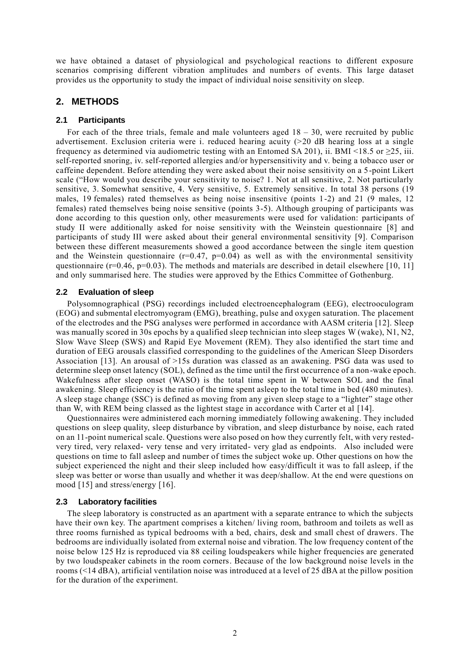we have obtained a dataset of physiological and psychological reactions to different exposure scenarios comprising different vibration amplitudes and numbers of events. This large dataset provides us the opportunity to study the impact of individual noise sensitivity on sleep.

# **2. METHODS**

## **2.1 Participants**

For each of the three trials, female and male volunteers aged  $18 - 30$ , were recruited by public advertisement. Exclusion criteria were i. reduced hearing acuity (>20 dB hearing loss at a single frequency as determined via audiometric testing with an Entomed SA 201), ii. BMI <18.5 or  $\geq$ 25, iii. self-reported snoring, iv. self-reported allergies and/or hypersensitivity and v. being a tobacco user or caffeine dependent. Before attending they were asked about their noise sensitivity on a 5-point Likert scale ("How would you describe your sensitivity to noise? 1. Not at all sensitive, 2. Not particularly sensitive, 3. Somewhat sensitive, 4. Very sensitive, 5. Extremely sensitive. In total 38 persons (19 males, 19 females) rated themselves as being noise insensitive (points 1-2) and 21 (9 males, 12 females) rated themselves being noise sensitive (points 3-5). Although grouping of participants was done according to this question only, other measurements were used for validation: participants of study II were additionally asked for noise sensitivity with the Weinstein questionnaire [\[8\]](#page-7-7) and participants of study III were asked about their general environmental sensitivity [\[9\]](#page-7-8). Comparison between these different measurements showed a good accordance between the single item question and the Weinstein questionnaire ( $r=0.47$ ,  $p=0.04$ ) as well as with the environmental sensitivity questionnaire ( $r=0.46$ ,  $p=0.03$ ). The methods and materials are described in detail elsewhere [\[10,](#page-7-9) [11\]](#page-7-10) and only summarised here. The studies were approved by the Ethics Committee of Gothenburg.

## **2.2 Evaluation of sleep**

Polysomnographical (PSG) recordings included electroencephalogram (EEG), electrooculogram (EOG) and submental electromyogram (EMG), breathing, pulse and oxygen saturation. The placement of the electrodes and the PSG analyses were performed in accordance with AASM criteria [\[12\]](#page-7-11). Sleep was manually scored in 30s epochs by a qualified sleep technician into sleep stages W (wake), N1, N2, Slow Wave Sleep (SWS) and Rapid Eye Movement (REM). They also identified the start time and duration of EEG arousals classified corresponding to the guidelines of the American Sleep Disorders Association [\[13\]](#page-7-12). An arousal of >15s duration was classed as an awakening. PSG data was used to determine sleep onset latency (SOL), defined as the time until the first occurrence of a non-wake epoch. Wakefulness after sleep onset (WASO) is the total time spent in W between SOL and the final awakening. Sleep efficiency is the ratio of the time spent asleep to the total time in bed (480 minutes). A sleep stage change (SSC) is defined as moving from any given sleep stage to a "lighter" stage other than W, with REM being classed as the lightest stage in accordance with Carter et al [\[14\]](#page-8-0).

Questionnaires were administered each morning immediately following awakening. They included questions on sleep quality, sleep disturbance by vibration, and sleep disturbance by noise, each rated on an 11-point numerical scale. Questions were also posed on how they currently felt, with very restedvery tired, very relaxed- very tense and very irritated- very glad as endpoints. Also included were questions on time to fall asleep and number of times the subject woke up. Other questions on how the subject experienced the night and their sleep included how easy/difficult it was to fall asleep, if the sleep was better or worse than usually and whether it was deep/shallow. At the end were questions on mood [\[15\]](#page-8-1) and stress/energy [\[16\]](#page-8-2).

### **2.3 Laboratory facilities**

The sleep laboratory is constructed as an apartment with a separate entrance to which the subjects have their own key. The apartment comprises a kitchen/ living room, bathroom and toilets as well as three rooms furnished as typical bedrooms with a bed, chairs, desk and small chest of drawers. The bedrooms are individually isolated from external noise and vibration. The low frequency content of the noise below 125 Hz is reproduced via 88 ceiling loudspeakers while higher frequencies are generated by two loudspeaker cabinets in the room corners. Because of the low background noise levels in the rooms (<14 dBA), artificial ventilation noise was introduced at a level of 25 dBA at the pillow position for the duration of the experiment.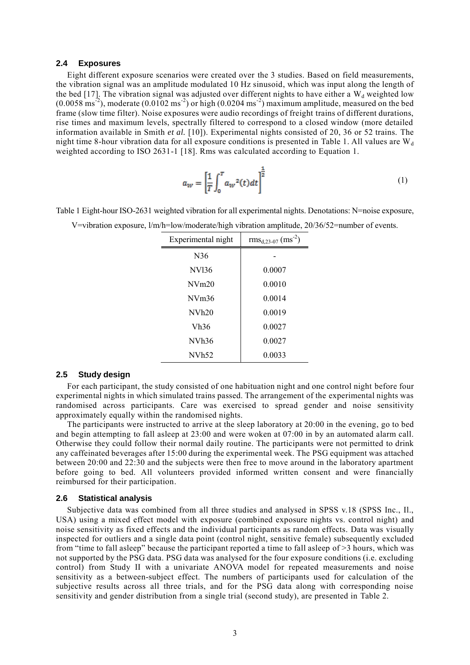#### **2.4 Exposures**

Eight different exposure scenarios were created over the 3 studies. Based on field measurements, the vibration signal was an amplitude modulated 10 Hz sinusoid, which was input along the length of the bed [\[17\]](#page-8-3). The vibration signal was adjusted over different nights to have either a  $W_d$  weighted low  $(0.0058 \text{ ms}^{-2})$ , moderate  $(0.0102 \text{ ms}^{-2})$  or high  $(0.0204 \text{ ms}^{-2})$  maximum amplitude, measured on the bed frame (slow time filter). Noise exposures were audio recordings of freight trains of different durations, rise times and maximum levels, spectrally filtered to correspond to a closed window (more detailed information available in Smith *et al.* [\[10\]](#page-7-9)). Experimental nights consisted of 20, 36 or 52 trains. The night time 8-hour vibration data for all exposure conditions is presented in [Table 1.](#page-2-0) All values are  $W_d$ weighted according to ISO 2631-1 [\[18\]](#page-8-4). Rms was calculated according to Equation 1.

$$
a_W = \left[\frac{1}{T} \int_0^T a_W^2(t) dt\right]^{\frac{1}{2}}
$$
 (1)

<span id="page-2-0"></span>Table 1 Eight-hour ISO-2631 weighted vibration for all experimental nights. Denotations: N=noise exposure,

| Experimental night | $\text{rms}_{d,23-07}$ (ms <sup>-2</sup> ) |
|--------------------|--------------------------------------------|
| N36                |                                            |
| NV <sub>136</sub>  | 0.0007                                     |
| NVm20              | 0.0010                                     |
| NVm36              | 0.0014                                     |
| NVh <sub>20</sub>  | 0.0019                                     |
| Vh36               | 0.0027                                     |
| NVh36              | 0.0027                                     |
| NVh52              | 0.0033                                     |
|                    |                                            |

V=vibration exposure, l/m/h=low/moderate/high vibration amplitude, 20/36/52=number of events.

#### **2.5 Study design**

For each participant, the study consisted of one habituation night and one control night before four experimental nights in which simulated trains passed. The arrangement of the experimental nights was randomised across participants. Care was exercised to spread gender and noise sensitivity approximately equally within the randomised nights.

The participants were instructed to arrive at the sleep laboratory at 20:00 in the evening, go to bed and begin attempting to fall asleep at 23:00 and were woken at 07:00 in by an automated alarm call. Otherwise they could follow their normal daily routine. The participants were not permitted to drink any caffeinated beverages after 15:00 during the experimental week. The PSG equipment was attached between 20:00 and 22:30 and the subjects were then free to move around in the laboratory apartment before going to bed. All volunteers provided informed written consent and were financially reimbursed for their participation.

#### **2.6 Statistical analysis**

Subjective data was combined from all three studies and analysed in SPSS v.18 (SPSS Inc., Il., USA) using a mixed effect model with exposure (combined exposure nights vs. control night) and noise sensitivity as fixed effects and the individual participants as random effects. Data was visually inspected for outliers and a single data point (control night, sensitive female) subsequently excluded from "time to fall asleep" because the participant reported a time to fall asleep of >3 hours, which was not supported by the PSG data. PSG data was analysed for the four exposure conditions (i.e. excluding control) from Study II with a univariate ANOVA model for repeated measurements and noise sensitivity as a between-subject effect. The numbers of participants used for calculation of the subjective results across all three trials, and for the PSG data along with corresponding noise sensitivity and gender distribution from a single trial (second study), are presented in [Table 2.](#page-3-0)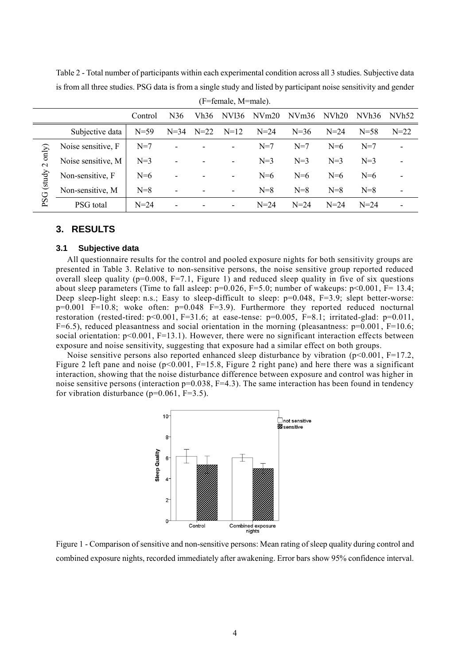|                                                      | (F=female, M=male). |          |        |        |                          |          |          |                   |                   |                          |
|------------------------------------------------------|---------------------|----------|--------|--------|--------------------------|----------|----------|-------------------|-------------------|--------------------------|
| N36<br>Vh36<br>NV <sub>136</sub><br>NVm20<br>Control |                     |          |        |        |                          |          | NVm36    | NVh <sub>20</sub> | NVh <sub>36</sub> | NVh52                    |
|                                                      | Subjective data     | $N = 59$ | $N=34$ | $N=22$ | $N=12$                   | $N = 24$ | $N = 36$ | $N = 24$          | $N = 58$          | $N = 22$                 |
| $2$ only)<br>PSG (study                              | Noise sensitive, F  | $N=7$    | ۰      |        |                          | $N=7$    | $N=7$    | $N=6$             | $N=7$             | ۰                        |
|                                                      | Noise sensitive, M  | $N=3$    | ۰      |        | $\overline{\phantom{a}}$ | $N=3$    | $N=3$    | $N=3$             | $N=3$             | $\overline{\phantom{0}}$ |
|                                                      | Non-sensitive, F    | $N=6$    | ۰      |        | ۰                        | $N=6$    | $N=6$    | $N=6$             | $N=6$             | -                        |
|                                                      | Non-sensitive, M    | $N=8$    | ۰      |        | $\overline{\phantom{a}}$ | $N=8$    | $N=8$    | $N=8$             | $N=8$             | $\overline{\phantom{0}}$ |
|                                                      | PSG total           | $N=24$   | ۰      |        |                          | $N = 24$ | $N = 24$ | $N=24$            | $N = 24$          | $\overline{\phantom{0}}$ |

<span id="page-3-0"></span>Table 2 - Total number of participants within each experimental condition across all 3 studies. Subjective data is from all three studies. PSG data is from a single study and listed by participant noise sensitivity and gender

## **3. RESULTS**

#### **3.1 Subjective data**

All questionnaire results for the control and pooled exposure nights for both sensitivity groups are presented in [Table 3.](#page-4-0) Relative to non-sensitive persons, the noise sensitive group reported reduced overall sleep quality ( $p=0.008$ ,  $F=7.1$ , [Figure 1\)](#page-3-1) and reduced sleep quality in five of six questions about sleep parameters (Time to fall asleep:  $p=0.026$ ,  $F=5.0$ ; number of wakeups:  $p<0.001$ ,  $F=13.4$ ; Deep sleep-light sleep: n.s.; Easy to sleep-difficult to sleep:  $p=0.048$ , F=3.9; slept better-worse:  $p=0.001$  F=10.8; woke often:  $p=0.048$  F=3.9). Furthermore they reported reduced nocturnal restoration (rested-tired:  $p<0.001$ , F=31.6; at ease-tense:  $p=0.005$ , F=8.1; irritated-glad:  $p=0.011$ , F=6.5), reduced pleasantness and social orientation in the morning (pleasantness:  $p=0.001$ , F=10.6; social orientation: p<0.001, F=13.1). However, there were no significant interaction effects between exposure and noise sensitivity, suggesting that exposure had a similar effect on both groups.

Noise sensitive persons also reported enhanced sleep disturbance by vibration  $(p<0.001, F=17.2,$ [Figure 2](#page-5-0) left pane and noise (p<0.001, F=15.8, [Figure 2](#page-5-0) right pane) and here there was a significant interaction, showing that the noise disturbance difference between exposure and control was higher in noise sensitive persons (interaction p=0.038, F=4.3). The same interaction has been found in tendency for vibration disturbance ( $p=0.061$ ,  $F=3.5$ ).



<span id="page-3-1"></span>Figure 1 - Comparison of sensitive and non-sensitive persons: Mean rating of sleep quality during control and combined exposure nights, recorded immediately after awakening. Error bars show 95% confidence interval.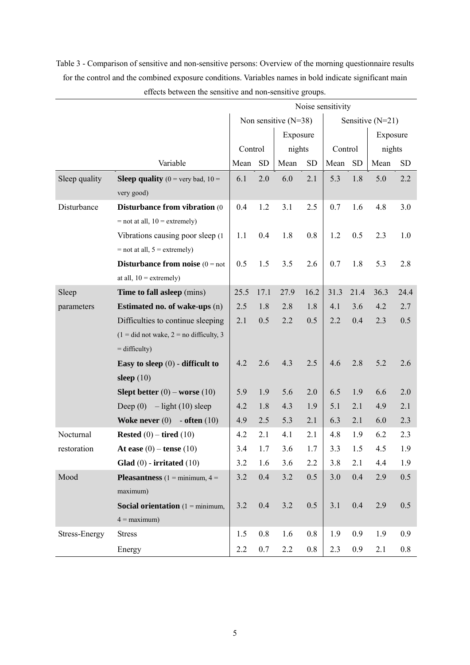|                                                      |                                                       | Noise sensitivity |                        |        |                    |         |           |        |           |
|------------------------------------------------------|-------------------------------------------------------|-------------------|------------------------|--------|--------------------|---------|-----------|--------|-----------|
|                                                      |                                                       |                   | Non sensitive $(N=38)$ |        | Sensitive $(N=21)$ |         |           |        |           |
|                                                      |                                                       | Exposure          |                        |        |                    |         | Exposure  |        |           |
|                                                      |                                                       | Control           |                        | nights |                    | Control |           | nights |           |
|                                                      | Variable                                              | Mean              | <b>SD</b>              | Mean   | <b>SD</b>          | Mean    | <b>SD</b> | Mean   | <b>SD</b> |
| Sleep quality                                        | <b>Sleep quality</b> ( $0 = \text{very bad}$ , $10 =$ | 6.1               | 2.0                    | 6.0    | 2.1                | 5.3     | 1.8       | 5.0    | 2.2       |
|                                                      | very good)                                            |                   |                        |        |                    |         |           |        |           |
| Disturbance<br><b>Disturbance from vibration (0)</b> |                                                       | 0.4               | 1.2                    | 3.1    | 2.5                | 0.7     | 1.6       | 4.8    | 3.0       |
|                                                      | $=$ not at all, $10 =$ extremely)                     |                   |                        |        |                    |         |           |        |           |
|                                                      | Vibrations causing poor sleep (1)                     | 1.1               | 0.4                    | 1.8    | 0.8                | 1.2     | 0.5       | 2.3    | 1.0       |
|                                                      | $=$ not at all, $5 =$ extremely)                      |                   |                        |        |                    |         |           |        |           |
|                                                      | <b>Disturbance from noise</b> $(0 = not)$             | 0.5               | 1.5                    | 3.5    | 2.6                | 0.7     | 1.8       | 5.3    | 2.8       |
|                                                      | at all, $10 =$ extremely)                             |                   |                        |        |                    |         |           |        |           |
| Sleep                                                | Time to fall asleep (mins)                            | 25.5              | 17.1                   | 27.9   | 16.2               | 31.3    | 21.4      | 36.3   | 24.4      |
| parameters                                           | <b>Estimated no. of wake-ups (n)</b>                  | 2.5               | 1.8                    | 2.8    | 1.8                | 4.1     | 3.6       | 4.2    | 2.7       |
|                                                      | Difficulties to continue sleeping                     | 2.1               | 0.5                    | 2.2    | 0.5                | 2.2     | 0.4       | 2.3    | 0.5       |
|                                                      | $(1 = did not wake, 2 = no difficulty, 3)$            |                   |                        |        |                    |         |           |        |           |
|                                                      | $=$ difficulty)                                       |                   |                        |        |                    |         |           |        |           |
|                                                      | Easy to sleep $(0)$ - difficult to                    | 4.2               | 2.6                    | 4.3    | 2.5                | 4.6     | 2.8       | 5.2    | 2.6       |
|                                                      | sleep $(10)$                                          |                   |                        |        |                    |         |           |        |           |
|                                                      | Slept better $(0)$ – worse $(10)$                     | 5.9               | 1.9                    | 5.6    | 2.0                | 6.5     | 1.9       | 6.6    | 2.0       |
|                                                      | Deep $(0)$ – light $(10)$ sleep                       | 4.2               | 1.8                    | 4.3    | 1.9                | 5.1     | 2.1       | 4.9    | 2.1       |
|                                                      | Woke never $(0)$ - often $(10)$                       | 4.9               | 2.5                    | 5.3    | 2.1                | 6.3     | 2.1       | 6.0    | 2.3       |
| Nocturnal                                            | Rested $(0)$ – tired $(10)$                           | 4.2               | 2.1                    | 4.1    | 2.1                | 4.8     | 1.9       | 6.2    | 2.3       |
| restoration                                          | At ease $(0)$ – tense $(10)$                          | 3.4               | 1.7                    | 3.6    | 1.7                | 3.3     | 1.5       | 4.5    | 1.9       |
|                                                      | Glad $(0)$ - irritated $(10)$                         | 3.2               | 1.6                    | 3.6    | 2.2                | 3.8     | 2.1       | 4.4    | 1.9       |
| Mood                                                 | <b>Pleasantness</b> $(1 = \text{minimum}, 4 =$        | 3.2               | 0.4                    | 3.2    | 0.5                | 3.0     | 0.4       | 2.9    | 0.5       |
|                                                      | maximum)                                              |                   |                        |        |                    |         |           |        |           |
|                                                      | <b>Social orientation</b> $(1 - \text{minimum})$      | 3.2               | 0.4                    | 3.2    | 0.5                | 3.1     | 0.4       | 2.9    | 0.5       |
|                                                      | $4 =$ maximum)                                        |                   |                        |        |                    |         |           |        |           |
| Stress-Energy                                        | <b>Stress</b>                                         | 1.5               | 0.8                    | 1.6    | 0.8                | 1.9     | 0.9       | 1.9    | 0.9       |
|                                                      | Energy                                                | 2.2               | 0.7                    | 2.2    | 0.8                | 2.3     | 0.9       | 2.1    | 0.8       |

<span id="page-4-0"></span>Table 3 - Comparison of sensitive and non-sensitive persons: Overview of the morning questionnaire results for the control and the combined exposure conditions. Variables names in bold indicate significant main effects between the sensitive and non-sensitive groups.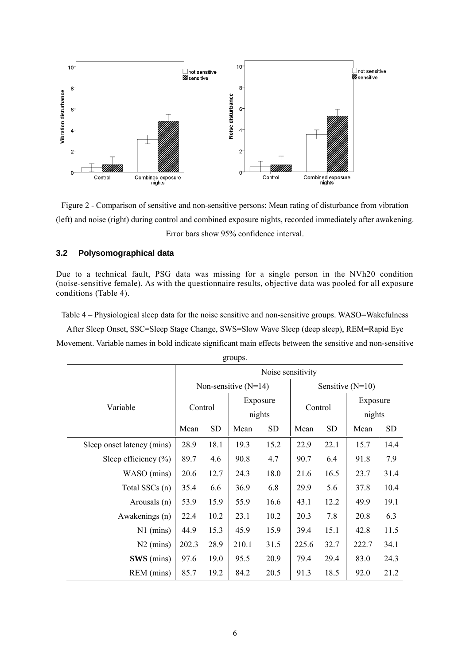

<span id="page-5-0"></span>Figure 2 - Comparison of sensitive and non-sensitive persons: Mean rating of disturbance from vibration (left) and noise (right) during control and combined exposure nights, recorded immediately after awakening. Error bars show 95% confidence interval.

## **3.2 Polysomographical data**

Due to a technical fault, PSG data was missing for a single person in the NVh20 condition (noise-sensitive female). As with the questionnaire results, objective data was pooled for all exposure conditions [\(Table 4\)](#page-5-1).

<span id="page-5-1"></span>Table 4 – Physiological sleep data for the noise sensitive and non-sensitive groups. WASO=Wakefulness

After Sleep Onset, SSC=Sleep Stage Change, SWS=Slow Wave Sleep (deep sleep), REM=Rapid Eye Movement. Variable names in bold indicate significant main effects between the sensitive and non-sensitive

|                            | Noise sensitivity |           |                        |      |                    |           |                    |           |  |  |
|----------------------------|-------------------|-----------|------------------------|------|--------------------|-----------|--------------------|-----------|--|--|
|                            |                   |           | Non-sensitive $(N=14)$ |      | Sensitive $(N=10)$ |           |                    |           |  |  |
| Variable                   | Control           |           | Exposure<br>nights     |      | Control            |           | Exposure<br>nights |           |  |  |
|                            | Mean              | <b>SD</b> | Mean<br><b>SD</b>      |      | Mean               | <b>SD</b> | Mean               | <b>SD</b> |  |  |
| Sleep onset latency (mins) | 28.9              | 18.1      | 19.3                   | 15.2 | 22.9               | 22.1      | 15.7               | 14.4      |  |  |
| Sleep efficiency $(\% )$   | 89.7              | 4.6       | 90.8                   | 4.7  | 90.7               | 6.4       | 91.8               | 7.9       |  |  |
| WASO (mins)                | 20.6              | 12.7      | 24.3                   | 18.0 | 21.6               | 16.5      | 23.7               | 31.4      |  |  |
| Total SSCs (n)             | 35.4<br>6.6       |           | 36.9                   | 6.8  | 29.9               | 5.6       | 37.8               | 10.4      |  |  |
| Arousals (n)               | 53.9              | 15.9      | 55.9                   | 16.6 | 43.1               | 12.2      | 49.9               | 19.1      |  |  |
| Awakenings (n)             | 22.4              | 10.2      | 23.1                   | 10.2 | 20.3               | 7.8       | 20.8               | 6.3       |  |  |
| $N1$ (mins)                | 44.9              | 15.3      | 45.9                   | 15.9 | 39.4               | 15.1      | 42.8               | 11.5      |  |  |
| $N2$ (mins)                | 202.3             | 28.9      | 210.1                  | 31.5 | 225.6              | 32.7      | 222.7              | 34.1      |  |  |
| SWS (mins)                 | 97.6              | 19.0      | 95.5                   | 20.9 | 79.4               | 29.4      | 83.0               | 24.3      |  |  |
| REM (mins)                 | 85.7              | 19.2      | 84.2                   | 20.5 | 91.3               | 18.5      | 92.0               | 21.2      |  |  |

groups.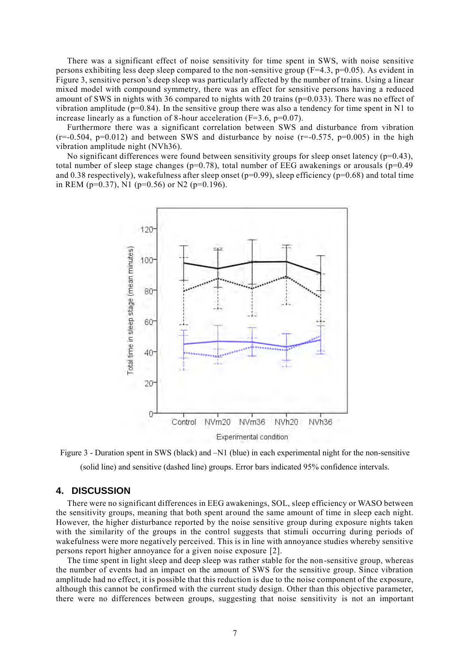There was a significant effect of noise sensitivity for time spent in SWS, with noise sensitive persons exhibiting less deep sleep compared to the non-sensitive group ( $F=4.3$ ,  $p=0.05$ ). As evident in Figure 3, sensitive person's deep sleep was particularly affected by the number of trains. Using a linear mixed model with compound symmetry, there was an effect for sensitive persons having a reduced amount of SWS in nights with 36 compared to nights with 20 trains (p=0.033). There was no effect of vibration amplitude ( $p=0.84$ ). In the sensitive group there was also a tendency for time spent in N1 to increase linearly as a function of 8-hour acceleration  $(F=3.6, p=0.07)$ .

Furthermore there was a significant correlation between SWS and disturbance from vibration  $(r=-0.504, p=0.012)$  and between SWS and disturbance by noise  $(r=-0.575, p=0.005)$  in the high vibration amplitude night (NVh36).

No significant differences were found between sensitivity groups for sleep onset latency  $(p=0.43)$ , total number of sleep stage changes ( $p=0.78$ ), total number of EEG awakenings or arousals ( $p=0.49$ ) and 0.38 respectively), wakefulness after sleep onset ( $p=0.99$ ), sleep efficiency ( $p=0.68$ ) and total time in REM ( $p=0.37$ ), N1 ( $p=0.56$ ) or N2 ( $p=0.196$ ).



Figure 3 - Duration spent in SWS (black) and –N1 (blue) in each experimental night for the non-sensitive (solid line) and sensitive (dashed line) groups. Error bars indicated 95% confidence intervals.

## **4. DISCUSSION**

There were no significant differences in EEG awakenings, SOL, sleep efficiency or WASO between the sensitivity groups, meaning that both spent around the same amount of time in sleep each night. However, the higher disturbance reported by the noise sensitive group during exposure nights taken with the similarity of the groups in the control suggests that stimuli occurring during periods of wakefulness were more negatively perceived. This is in line with annoyance studies whereby sensitive persons report higher annoyance for a given noise exposure [\[2\]](#page-7-1).

The time spent in light sleep and deep sleep was rather stable for the non-sensitive group, whereas the number of events had an impact on the amount of SWS for the sensitive group. Since vibration amplitude had no effect, it is possible that this reduction is due to the noise component of the exposure, although this cannot be confirmed with the current study design. Other than this objective parameter, there were no differences between groups, suggesting that noise sensitivity is not an important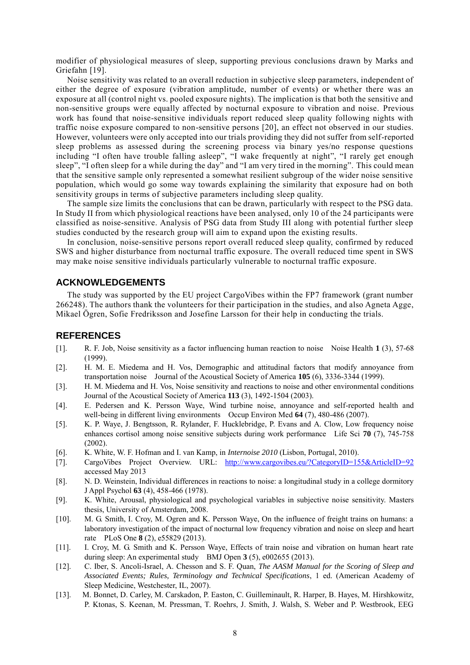modifier of physiological measures of sleep, supporting previous conclusions drawn by Marks and Griefahn [\[19\]](#page-8-5).

Noise sensitivity was related to an overall reduction in subjective sleep parameters, independent of either the degree of exposure (vibration amplitude, number of events) or whether there was an exposure at all (control night vs. pooled exposure nights). The implication is that both the sensitive and non-sensitive groups were equally affected by nocturnal exposure to vibration and noise. Previous work has found that noise-sensitive individuals report reduced sleep quality following nights with traffic noise exposure compared to non-sensitive persons [\[20\]](#page-8-6), an effect not observed in our studies. However, volunteers were only accepted into our trials providing they did not suffer from self-reported sleep problems as assessed during the screening process via binary yes/no response questions including "I often have trouble falling asleep", "I wake frequently at night", "I rarely get enough sleep", "I often sleep for a while during the day" and "I am very tired in the morning". This could mean that the sensitive sample only represented a somewhat resilient subgroup of the wider noise sensitive population, which would go some way towards explaining the similarity that exposure had on both sensitivity groups in terms of subjective parameters including sleep quality.

The sample size limits the conclusions that can be drawn, particularly with respect to the PSG data. In Study II from which physiological reactions have been analysed, only 10 of the 24 participants were classified as noise-sensitive. Analysis of PSG data from Study III along with potential further sleep studies conducted by the research group will aim to expand upon the existing results.

In conclusion, noise-sensitive persons report overall reduced sleep quality, confirmed by reduced SWS and higher disturbance from nocturnal traffic exposure. The overall reduced time spent in SWS may make noise sensitive individuals particularly vulnerable to nocturnal traffic exposure.

# **ACKNOWLEDGEMENTS**

The study was supported by the EU project CargoVibes within the FP7 framework (grant number 266248). The authors thank the volunteers for their participation in the studies, and also Agneta Agge, Mikael Ögren, Sofie Fredriksson and Josefine Larsson for their help in conducting the trials.

# **REFERENCES**

- <span id="page-7-0"></span>[1]. R. F. Job, Noise sensitivity as a factor influencing human reaction to noise Noise Health **1** (3), 57-68 (1999).
- <span id="page-7-1"></span>[2]. H. M. E. Miedema and H. Vos, Demographic and attitudinal factors that modify annoyance from transportation noise Journal of the Acoustical Society of America **105** (6), 3336-3344 (1999).
- <span id="page-7-2"></span>[3]. H. M. Miedema and H. Vos, Noise sensitivity and reactions to noise and other environmental conditions Journal of the Acoustical Society of America **113** (3), 1492-1504 (2003).
- <span id="page-7-3"></span>[4]. E. Pedersen and K. Persson Waye, Wind turbine noise, annoyance and self-reported health and well-being in different living environments Occup Environ Med **64** (7), 480-486 (2007).
- <span id="page-7-4"></span>[5]. K. P. Waye, J. Bengtsson, R. Rylander, F. Hucklebridge, P. Evans and A. Clow, Low frequency noise enhances cortisol among noise sensitive subjects during work performance Life Sci **70** (7), 745-758 (2002).
- <span id="page-7-5"></span>[6]. K. White, W. F. Hofman and I. van Kamp, in *Internoise 2010* (Lisbon, Portugal, 2010).
- <span id="page-7-6"></span>[7]. CargoVibes Project Overview. URL: <http://www.cargovibes.eu/?CategoryID=155&ArticleID=92> accessed May 2013
- <span id="page-7-7"></span>[8]. N. D. Weinstein, Individual differences in reactions to noise: a longitudinal study in a college dormitory J Appl Psychol **63** (4), 458-466 (1978).
- <span id="page-7-8"></span>[9]. K. White, Arousal, physiological and psychological variables in subjective noise sensitivity. Masters thesis, University of Amsterdam, 2008.
- <span id="page-7-9"></span>[10]. M. G. Smith, I. Croy, M. Ogren and K. Persson Waye, On the influence of freight trains on humans: a laboratory investigation of the impact of nocturnal low frequency vibration and noise on sleep and heart rate PLoS One **8** (2), e55829 (2013).
- <span id="page-7-10"></span>[11]. I. Croy, M. G. Smith and K. Persson Waye, Effects of train noise and vibration on human heart rate during sleep: An experimental study BMJ Open **3** (5), e002655 (2013).
- <span id="page-7-11"></span>[12]. C. Iber, S. Ancoli-Israel, A. Chesson and S. F. Quan, *The AASM Manual for the Scoring of Sleep and Associated Events; Rules, Terminology and Technical Specifications*, 1 ed. (American Academy of Sleep Medicine, Westchester, IL, 2007).
- <span id="page-7-12"></span>[13]. M. Bonnet, D. Carley, M. Carskadon, P. Easton, C. Guilleminault, R. Harper, B. Hayes, M. Hirshkowitz, P. Ktonas, S. Keenan, M. Pressman, T. Roehrs, J. Smith, J. Walsh, S. Weber and P. Westbrook, EEG